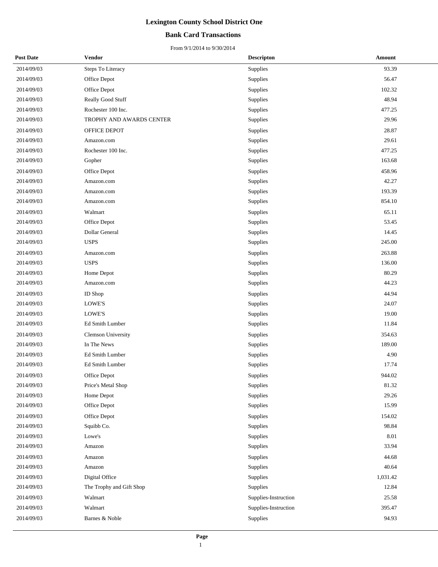#### **Bank Card Transactions**

| <b>Post Date</b> | Vendor                    | <b>Descripton</b>    | Amount   |
|------------------|---------------------------|----------------------|----------|
| 2014/09/03       | Steps To Literacy         | Supplies             | 93.39    |
| 2014/09/03       | Office Depot              | Supplies             | 56.47    |
| 2014/09/03       | Office Depot              | Supplies             | 102.32   |
| 2014/09/03       | Really Good Stuff         | Supplies             | 48.94    |
| 2014/09/03       | Rochester 100 Inc.        | Supplies             | 477.25   |
| 2014/09/03       | TROPHY AND AWARDS CENTER  | Supplies             | 29.96    |
| 2014/09/03       | OFFICE DEPOT              | Supplies             | 28.87    |
| 2014/09/03       | Amazon.com                | Supplies             | 29.61    |
| 2014/09/03       | Rochester 100 Inc.        | Supplies             | 477.25   |
| 2014/09/03       | Gopher                    | Supplies             | 163.68   |
| 2014/09/03       | Office Depot              | Supplies             | 458.96   |
| 2014/09/03       | Amazon.com                | Supplies             | 42.27    |
| 2014/09/03       | Amazon.com                | Supplies             | 193.39   |
| 2014/09/03       | Amazon.com                | Supplies             | 854.10   |
| 2014/09/03       | Walmart                   | Supplies             | 65.11    |
| 2014/09/03       | Office Depot              | Supplies             | 53.45    |
| 2014/09/03       | Dollar General            | Supplies             | 14.45    |
| 2014/09/03       | <b>USPS</b>               | Supplies             | 245.00   |
| 2014/09/03       | Amazon.com                | Supplies             | 263.88   |
| 2014/09/03       | <b>USPS</b>               | Supplies             | 136.00   |
| 2014/09/03       | Home Depot                | Supplies             | 80.29    |
| 2014/09/03       | Amazon.com                | Supplies             | 44.23    |
| 2014/09/03       | <b>ID</b> Shop            | Supplies             | 44.94    |
| 2014/09/03       | LOWE'S                    | Supplies             | 24.07    |
| 2014/09/03       | LOWE'S                    | Supplies             | 19.00    |
| 2014/09/03       | Ed Smith Lumber           | Supplies             | 11.84    |
| 2014/09/03       | <b>Clemson University</b> | Supplies             | 354.63   |
| 2014/09/03       | In The News               | Supplies             | 189.00   |
| 2014/09/03       | Ed Smith Lumber           | Supplies             | 4.90     |
| 2014/09/03       | Ed Smith Lumber           | Supplies             | 17.74    |
| 2014/09/03       | Office Depot              | Supplies             | 944.02   |
| 2014/09/03       | Price's Metal Shop        | Supplies             | 81.32    |
| 2014/09/03       | Home Depot                | Supplies             | 29.26    |
| 2014/09/03       | Office Depot              | Supplies             | 15.99    |
| 2014/09/03       | Office Depot              | Supplies             | 154.02   |
| 2014/09/03       | Squibb Co.                | Supplies             | 98.84    |
| 2014/09/03       | Lowe's                    | Supplies             | 8.01     |
| 2014/09/03       | Amazon                    | Supplies             | 33.94    |
| 2014/09/03       | Amazon                    | Supplies             | 44.68    |
| 2014/09/03       | Amazon                    | Supplies             | 40.64    |
| 2014/09/03       | Digital Office            | Supplies             | 1,031.42 |
| 2014/09/03       | The Trophy and Gift Shop  | Supplies             | 12.84    |
| 2014/09/03       | Walmart                   | Supplies-Instruction | 25.58    |
| 2014/09/03       | Walmart                   | Supplies-Instruction | 395.47   |
| 2014/09/03       | Barnes & Noble            | Supplies             | 94.93    |
|                  |                           |                      |          |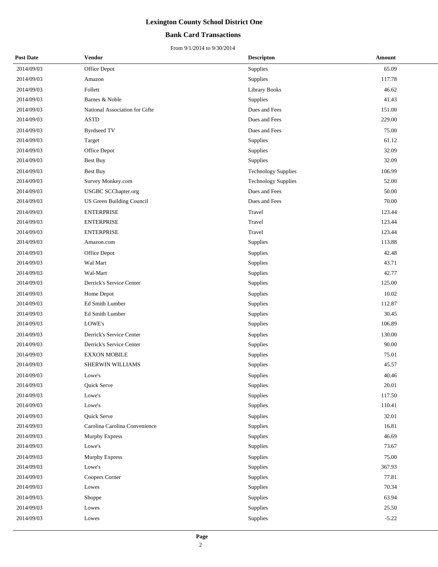#### **Bank Card Transactions**

| <b>Post Date</b> | Vendor                         | <b>Descripton</b>          | Amount  |
|------------------|--------------------------------|----------------------------|---------|
| 2014/09/03       | Office Depot                   | Supplies                   | 65.09   |
| 2014/09/03       | Amazon                         | Supplies                   | 117.78  |
| 2014/09/03       | Follett                        | <b>Library Books</b>       | 46.62   |
| 2014/09/03       | Barnes & Noble                 | <b>Supplies</b>            | 41.43   |
| 2014/09/03       | National Association for Gifte | Dues and Fees              | 151.00  |
| 2014/09/03       | <b>ASTD</b>                    | Dues and Fees              | 229.00  |
| 2014/09/03       | <b>Byrdseed TV</b>             | Dues and Fees              | 75.00   |
| 2014/09/03       | Target                         | <b>Supplies</b>            | 61.12   |
| 2014/09/03       | Office Depot                   | Supplies                   | 32.09   |
| 2014/09/03       | Best Buy                       | Supplies                   | 32.09   |
| 2014/09/03       | Best Buy                       | <b>Technology Supplies</b> | 106.99  |
| 2014/09/03       | Survey Monkey.com              | <b>Technology Supplies</b> | 52.00   |
| 2014/09/03       | <b>USGBC SCChapter.org</b>     | Dues and Fees              | 50.00   |
| 2014/09/03       | US Green Building Council      | Dues and Fees              | 70.00   |
| 2014/09/03       | <b>ENTERPRISE</b>              | Travel                     | 123.44  |
| 2014/09/03       | <b>ENTERPRISE</b>              | Travel                     | 123.44  |
| 2014/09/03       | <b>ENTERPRISE</b>              | Travel                     | 123.44  |
| 2014/09/03       | Amazon.com                     | Supplies                   | 113.88  |
| 2014/09/03       | Office Depot                   | Supplies                   | 42.48   |
| 2014/09/03       | Wal Mart                       | Supplies                   | 43.71   |
| 2014/09/03       | Wal-Mart                       | Supplies                   | 42.77   |
| 2014/09/03       | Derrick's Service Center       | Supplies                   | 125.00  |
| 2014/09/03       | Home Depot                     | Supplies                   | 10.02   |
| 2014/09/03       | Ed Smith Lumber                | Supplies                   | 112.87  |
| 2014/09/03       | Ed Smith Lumber                | Supplies                   | 30.45   |
| 2014/09/03       | LOWE's                         | Supplies                   | 106.89  |
| 2014/09/03       | Derrick's Service Center       | Supplies                   | 130.00  |
| 2014/09/03       | Derrick's Service Center       | Supplies                   | 90.00   |
| 2014/09/03       | <b>EXXON MOBILE</b>            | Supplies                   | 75.01   |
| 2014/09/03       | SHERWIN WILLIAMS               | Supplies                   | 45.57   |
| 2014/09/03       | Lowe's                         | Supplies                   | 40.46   |
| 2014/09/03       | Quick Serve                    | Supplies                   | 20.01   |
| 2014/09/03       | Lowe's                         | Supplies                   | 117.50  |
| 2014/09/03       | Lowe's                         | Supplies                   | 110.41  |
| 2014/09/03       | Quick Serve                    | Supplies                   | 32.01   |
| 2014/09/03       | Carolina Carolina Convenience  | Supplies                   | 16.81   |
| 2014/09/03       | Murphy Express                 | Supplies                   | 46.69   |
| 2014/09/03       | Lowe's                         | Supplies                   | 73.67   |
| 2014/09/03       | Murphy Express                 | Supplies                   | 75.00   |
| 2014/09/03       | Lowe's                         | Supplies                   | 367.93  |
| 2014/09/03       | Coopers Corner                 | Supplies                   | 77.81   |
| 2014/09/03       | Lowes                          | Supplies                   | 70.34   |
| 2014/09/03       | Shoppe                         | Supplies                   | 63.94   |
| 2014/09/03       | Lowes                          | Supplies                   | 25.50   |
| 2014/09/03       | Lowes                          | Supplies                   | $-5.22$ |
|                  |                                |                            |         |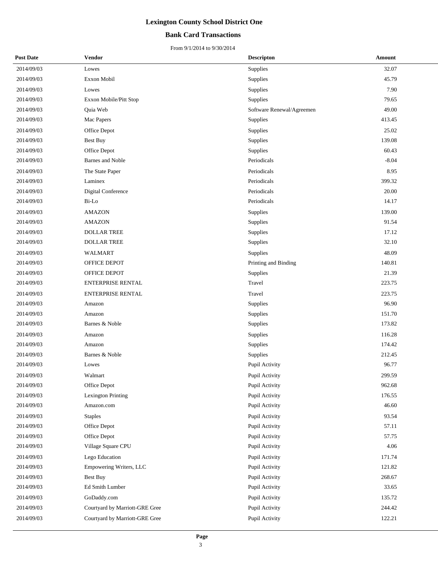#### **Bank Card Transactions**

| <b>Post Date</b> | <b>Vendor</b>                  | <b>Descripton</b>         | Amount  |
|------------------|--------------------------------|---------------------------|---------|
| 2014/09/03       | Lowes                          | Supplies                  | 32.07   |
| 2014/09/03       | Exxon Mobil                    | Supplies                  | 45.79   |
| 2014/09/03       | Lowes                          | Supplies                  | 7.90    |
| 2014/09/03       | Exxon Mobile/Pitt Stop         | Supplies                  | 79.65   |
| 2014/09/03       | Quia Web                       | Software Renewal/Agreemen | 49.00   |
| 2014/09/03       | Mac Papers                     | Supplies                  | 413.45  |
| 2014/09/03       | Office Depot                   | Supplies                  | 25.02   |
| 2014/09/03       | Best Buy                       | Supplies                  | 139.08  |
| 2014/09/03       | Office Depot                   | Supplies                  | 60.43   |
| 2014/09/03       | <b>Barnes</b> and Noble        | Periodicals               | $-8.04$ |
| 2014/09/03       | The State Paper                | Periodicals               | 8.95    |
| 2014/09/03       | Laminex                        | Periodicals               | 399.32  |
| 2014/09/03       | Digital Conference             | Periodicals               | 20.00   |
| 2014/09/03       | Bi-Lo                          | Periodicals               | 14.17   |
| 2014/09/03       | <b>AMAZON</b>                  | Supplies                  | 139.00  |
| 2014/09/03       | <b>AMAZON</b>                  | Supplies                  | 91.54   |
| 2014/09/03       | <b>DOLLAR TREE</b>             | Supplies                  | 17.12   |
| 2014/09/03       | <b>DOLLAR TREE</b>             | Supplies                  | 32.10   |
| 2014/09/03       | WALMART                        | Supplies                  | 48.09   |
| 2014/09/03       | OFFICE DEPOT                   | Printing and Binding      | 140.81  |
| 2014/09/03       | OFFICE DEPOT                   | Supplies                  | 21.39   |
| 2014/09/03       | <b>ENTERPRISE RENTAL</b>       | Travel                    | 223.75  |
| 2014/09/03       | <b>ENTERPRISE RENTAL</b>       | Travel                    | 223.75  |
| 2014/09/03       | Amazon                         | Supplies                  | 96.90   |
| 2014/09/03       | Amazon                         | Supplies                  | 151.70  |
| 2014/09/03       | Barnes & Noble                 | Supplies                  | 173.82  |
| 2014/09/03       | Amazon                         | Supplies                  | 116.28  |
| 2014/09/03       | Amazon                         | Supplies                  | 174.42  |
| 2014/09/03       | Barnes & Noble                 | Supplies                  | 212.45  |
| 2014/09/03       | Lowes                          | Pupil Activity            | 96.77   |
| 2014/09/03       | Walmart                        | Pupil Activity            | 299.59  |
| 2014/09/03       | Office Depot                   | Pupil Activity            | 962.68  |
| 2014/09/03       | <b>Lexington Printing</b>      | Pupil Activity            | 176.55  |
| 2014/09/03       | Amazon.com                     | Pupil Activity            | 46.60   |
| 2014/09/03       | <b>Staples</b>                 | Pupil Activity            | 93.54   |
| 2014/09/03       | Office Depot                   | Pupil Activity            | 57.11   |
| 2014/09/03       | Office Depot                   | Pupil Activity            | 57.75   |
| 2014/09/03       | Village Square CPU             | Pupil Activity            | 4.06    |
| 2014/09/03       | Lego Education                 | Pupil Activity            | 171.74  |
| 2014/09/03       | Empowering Writers, LLC        | Pupil Activity            | 121.82  |
| 2014/09/03       | Best Buy                       | Pupil Activity            | 268.67  |
| 2014/09/03       | Ed Smith Lumber                | Pupil Activity            | 33.65   |
| 2014/09/03       | GoDaddy.com                    | Pupil Activity            | 135.72  |
| 2014/09/03       | Courtyard by Marriott-GRE Gree | Pupil Activity            | 244.42  |
| 2014/09/03       | Courtyard by Marriott-GRE Gree | Pupil Activity            | 122.21  |
|                  |                                |                           |         |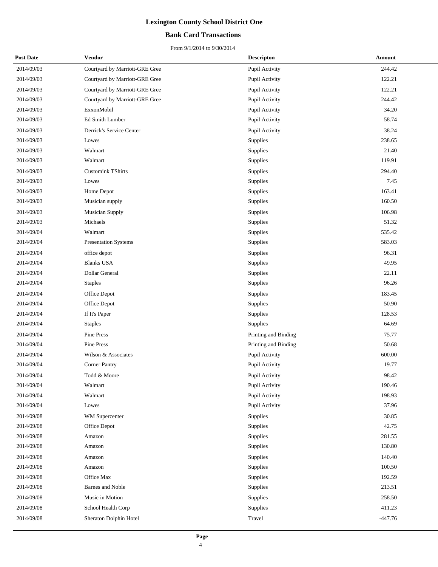#### **Bank Card Transactions**

| <b>Post Date</b> | Vendor                         | <b>Descripton</b>    | Amount    |
|------------------|--------------------------------|----------------------|-----------|
| 2014/09/03       | Courtyard by Marriott-GRE Gree | Pupil Activity       | 244.42    |
| 2014/09/03       | Courtyard by Marriott-GRE Gree | Pupil Activity       | 122.21    |
| 2014/09/03       | Courtyard by Marriott-GRE Gree | Pupil Activity       | 122.21    |
| 2014/09/03       | Courtyard by Marriott-GRE Gree | Pupil Activity       | 244.42    |
| 2014/09/03       | ExxonMobil                     | Pupil Activity       | 34.20     |
| 2014/09/03       | Ed Smith Lumber                | Pupil Activity       | 58.74     |
| 2014/09/03       | Derrick's Service Center       | Pupil Activity       | 38.24     |
| 2014/09/03       | Lowes                          | Supplies             | 238.65    |
| 2014/09/03       | Walmart                        | Supplies             | 21.40     |
| 2014/09/03       | Walmart                        | Supplies             | 119.91    |
| 2014/09/03       | <b>Customink TShirts</b>       | Supplies             | 294.40    |
| 2014/09/03       | Lowes                          | Supplies             | 7.45      |
| 2014/09/03       | Home Depot                     | Supplies             | 163.41    |
| 2014/09/03       | Musician supply                | Supplies             | 160.50    |
| 2014/09/03       | <b>Musician Supply</b>         | Supplies             | 106.98    |
| 2014/09/03       | Michaels                       | Supplies             | 51.32     |
| 2014/09/04       | Walmart                        | Supplies             | 535.42    |
| 2014/09/04       | <b>Presentation Systems</b>    | Supplies             | 583.03    |
| 2014/09/04       | office depot                   | Supplies             | 96.31     |
| 2014/09/04       | <b>Blanks USA</b>              | Supplies             | 49.95     |
| 2014/09/04       | Dollar General                 | Supplies             | 22.11     |
| 2014/09/04       | <b>Staples</b>                 | Supplies             | 96.26     |
| 2014/09/04       | Office Depot                   | Supplies             | 183.45    |
| 2014/09/04       | Office Depot                   | Supplies             | 50.90     |
| 2014/09/04       | If It's Paper                  | Supplies             | 128.53    |
| 2014/09/04       | <b>Staples</b>                 | Supplies             | 64.69     |
| 2014/09/04       | Pine Press                     | Printing and Binding | 75.77     |
| 2014/09/04       | Pine Press                     | Printing and Binding | 50.68     |
| 2014/09/04       | Wilson & Associates            | Pupil Activity       | 600.00    |
| 2014/09/04       | <b>Corner Pantry</b>           | Pupil Activity       | 19.77     |
| 2014/09/04       | Todd & Moore                   | Pupil Activity       | 98.42     |
| 2014/09/04       | Walmart                        | Pupil Activity       | 190.46    |
| 2014/09/04       | Walmart                        | Pupil Activity       | 198.93    |
| 2014/09/04       | Lowes                          | Pupil Activity       | 37.96     |
| 2014/09/08       | WM Supercenter                 | Supplies             | 30.85     |
| 2014/09/08       | Office Depot                   | Supplies             | 42.75     |
| 2014/09/08       | Amazon                         | Supplies             | 281.55    |
| 2014/09/08       | Amazon                         | Supplies             | 130.80    |
| 2014/09/08       | Amazon                         | Supplies             | 140.40    |
| 2014/09/08       | Amazon                         | Supplies             | 100.50    |
| 2014/09/08       | Office Max                     | Supplies             | 192.59    |
| 2014/09/08       | Barnes and Noble               | Supplies             | 213.51    |
| 2014/09/08       | Music in Motion                | Supplies             | 258.50    |
| 2014/09/08       | School Health Corp             | Supplies             | 411.23    |
| 2014/09/08       | Sheraton Dolphin Hotel         | Travel               | $-447.76$ |
|                  |                                |                      |           |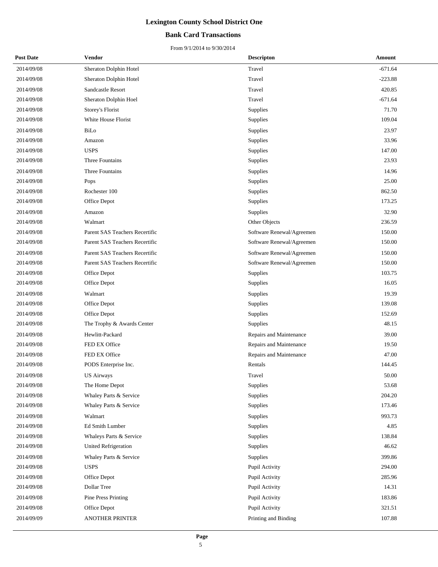#### **Bank Card Transactions**

| <b>Post Date</b> | Vendor                         | <b>Descripton</b>         | Amount    |
|------------------|--------------------------------|---------------------------|-----------|
| 2014/09/08       | Sheraton Dolphin Hotel         | Travel                    | $-671.64$ |
| 2014/09/08       | Sheraton Dolphin Hotel         | Travel                    | $-223.88$ |
| 2014/09/08       | Sandcastle Resort              | Travel                    | 420.85    |
| 2014/09/08       | Sheraton Dolphin Hoel          | Travel                    | $-671.64$ |
| 2014/09/08       | Storey's Florist               | Supplies                  | 71.70     |
| 2014/09/08       | White House Florist            | Supplies                  | 109.04    |
| 2014/09/08       | BiLo                           | Supplies                  | 23.97     |
| 2014/09/08       | Amazon                         | Supplies                  | 33.96     |
| 2014/09/08       | <b>USPS</b>                    | Supplies                  | 147.00    |
| 2014/09/08       | Three Fountains                | Supplies                  | 23.93     |
| 2014/09/08       | Three Fountains                | Supplies                  | 14.96     |
| 2014/09/08       | Pops                           | Supplies                  | 25.00     |
| 2014/09/08       | Rochester 100                  | Supplies                  | 862.50    |
| 2014/09/08       | Office Depot                   | Supplies                  | 173.25    |
| 2014/09/08       | Amazon                         | Supplies                  | 32.90     |
| 2014/09/08       | Walmart                        | Other Objects             | 236.59    |
| 2014/09/08       | Parent SAS Teachers Recertific | Software Renewal/Agreemen | 150.00    |
| 2014/09/08       | Parent SAS Teachers Recertific | Software Renewal/Agreemen | 150.00    |
| 2014/09/08       | Parent SAS Teachers Recertific | Software Renewal/Agreemen | 150.00    |
| 2014/09/08       | Parent SAS Teachers Recertific | Software Renewal/Agreemen | 150.00    |
| 2014/09/08       | Office Depot                   | Supplies                  | 103.75    |
| 2014/09/08       | Office Depot                   | Supplies                  | 16.05     |
| 2014/09/08       | Walmart                        | Supplies                  | 19.39     |
| 2014/09/08       | Office Depot                   | Supplies                  | 139.08    |
| 2014/09/08       | Office Depot                   | Supplies                  | 152.69    |
| 2014/09/08       | The Trophy & Awards Center     | Supplies                  | 48.15     |
| 2014/09/08       | Hewlitt-Packard                | Repairs and Maintenance   | 39.00     |
| 2014/09/08       | FED EX Office                  | Repairs and Maintenance   | 19.50     |
| 2014/09/08       | FED EX Office                  | Repairs and Maintenance   | 47.00     |
| 2014/09/08       | PODS Enterprise Inc.           | Rentals                   | 144.45    |
| 2014/09/08       | <b>US Airways</b>              | Travel                    | 50.00     |
| 2014/09/08       | The Home Depot                 | Supplies                  | 53.68     |
| 2014/09/08       | Whaley Parts & Service         | Supplies                  | 204.20    |
| 2014/09/08       | Whaley Parts & Service         | Supplies                  | 173.46    |
| 2014/09/08       | Walmart                        | Supplies                  | 993.73    |
| 2014/09/08       | Ed Smith Lumber                | Supplies                  | 4.85      |
| 2014/09/08       | Whaleys Parts & Service        | Supplies                  | 138.84    |
| 2014/09/08       | United Refrigeration           | Supplies                  | 46.62     |
| 2014/09/08       | Whaley Parts & Service         | Supplies                  | 399.86    |
| 2014/09/08       | <b>USPS</b>                    | Pupil Activity            | 294.00    |
| 2014/09/08       | Office Depot                   | Pupil Activity            | 285.96    |
| 2014/09/08       | Dollar Tree                    | Pupil Activity            | 14.31     |
| 2014/09/08       | <b>Pine Press Printing</b>     | Pupil Activity            | 183.86    |
| 2014/09/08       | Office Depot                   | Pupil Activity            | 321.51    |
| 2014/09/09       | ANOTHER PRINTER                | Printing and Binding      | 107.88    |
|                  |                                |                           |           |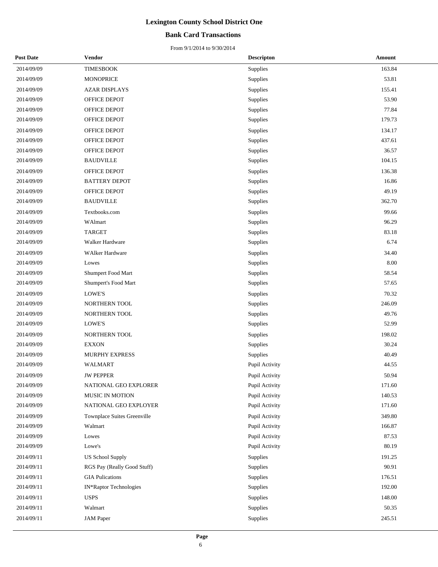#### **Bank Card Transactions**

| <b>Post Date</b> | <b>Vendor</b>               | <b>Descripton</b> | Amount |
|------------------|-----------------------------|-------------------|--------|
| 2014/09/09       | <b>TIMESBOOK</b>            | Supplies          | 163.84 |
| 2014/09/09       | <b>MONOPRICE</b>            | Supplies          | 53.81  |
| 2014/09/09       | <b>AZAR DISPLAYS</b>        | Supplies          | 155.41 |
| 2014/09/09       | OFFICE DEPOT                | Supplies          | 53.90  |
| 2014/09/09       | OFFICE DEPOT                | Supplies          | 77.84  |
| 2014/09/09       | OFFICE DEPOT                | Supplies          | 179.73 |
| 2014/09/09       | <b>OFFICE DEPOT</b>         | Supplies          | 134.17 |
| 2014/09/09       | OFFICE DEPOT                | Supplies          | 437.61 |
| 2014/09/09       | OFFICE DEPOT                | Supplies          | 36.57  |
| 2014/09/09       | <b>BAUDVILLE</b>            | Supplies          | 104.15 |
| 2014/09/09       | OFFICE DEPOT                | Supplies          | 136.38 |
| 2014/09/09       | <b>BATTERY DEPOT</b>        | Supplies          | 16.86  |
| 2014/09/09       | OFFICE DEPOT                | Supplies          | 49.19  |
| 2014/09/09       | <b>BAUDVILLE</b>            | Supplies          | 362.70 |
| 2014/09/09       | Textbooks.com               | Supplies          | 99.66  |
| 2014/09/09       | WAlmart                     | Supplies          | 96.29  |
| 2014/09/09       | <b>TARGET</b>               | Supplies          | 83.18  |
| 2014/09/09       | Walker Hardware             | Supplies          | 6.74   |
| 2014/09/09       | WAlker Hardware             | Supplies          | 34.40  |
| 2014/09/09       | Lowes                       | Supplies          | 8.00   |
| 2014/09/09       | Shumpert Food Mart          | Supplies          | 58.54  |
| 2014/09/09       | Shumpert's Food Mart        | Supplies          | 57.65  |
| 2014/09/09       | LOWE'S                      | Supplies          | 70.32  |
| 2014/09/09       | NORTHERN TOOL               | Supplies          | 246.09 |
| 2014/09/09       | NORTHERN TOOL               | Supplies          | 49.76  |
| 2014/09/09       | LOWE'S                      | Supplies          | 52.99  |
| 2014/09/09       | NORTHERN TOOL               | Supplies          | 198.02 |
| 2014/09/09       | <b>EXXON</b>                | Supplies          | 30.24  |
| 2014/09/09       | MURPHY EXPRESS              | Supplies          | 40.49  |
| 2014/09/09       | WALMART                     | Pupil Activity    | 44.55  |
| 2014/09/09       | <b>JW PEPPER</b>            | Pupil Activity    | 50.94  |
| 2014/09/09       | NATIONAL GEO EXPLORER       | Pupil Activity    | 171.60 |
| 2014/09/09       | MUSIC IN MOTION             | Pupil Activity    | 140.53 |
| 2014/09/09       | NATIONAL GEO EXPLOYER       | Pupil Activity    | 171.60 |
| 2014/09/09       | Townplace Suites Greenville | Pupil Activity    | 349.80 |
| 2014/09/09       | Walmart                     | Pupil Activity    | 166.87 |
| 2014/09/09       | Lowes                       | Pupil Activity    | 87.53  |
| 2014/09/09       | Lowe's                      | Pupil Activity    | 80.19  |
| 2014/09/11       | <b>US School Supply</b>     | Supplies          | 191.25 |
| 2014/09/11       | RGS Pay (Really Good Stuff) | Supplies          | 90.91  |
| 2014/09/11       | <b>GIA Pulications</b>      | Supplies          | 176.51 |
| 2014/09/11       | IN*Raptor Technologies      | Supplies          | 192.00 |
| 2014/09/11       | <b>USPS</b>                 | Supplies          | 148.00 |
| 2014/09/11       | Walmart                     | Supplies          | 50.35  |
| 2014/09/11       | <b>JAM</b> Paper            | Supplies          | 245.51 |
|                  |                             |                   |        |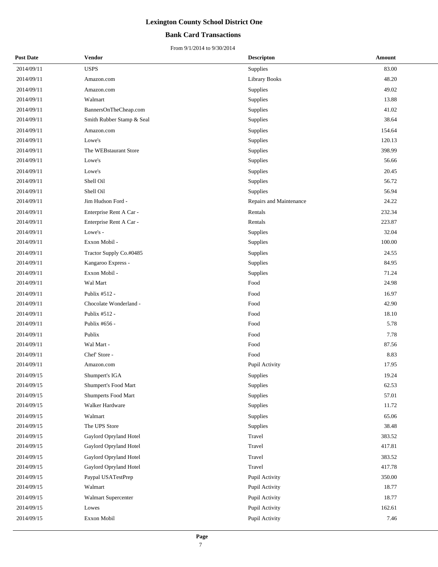#### **Bank Card Transactions**

| <b>Post Date</b> | Vendor                    | <b>Descripton</b>       | Amount |
|------------------|---------------------------|-------------------------|--------|
| 2014/09/11       | <b>USPS</b>               | <b>Supplies</b>         | 83.00  |
| 2014/09/11       | Amazon.com                | <b>Library Books</b>    | 48.20  |
| 2014/09/11       | Amazon.com                | Supplies                | 49.02  |
| 2014/09/11       | Walmart                   | Supplies                | 13.88  |
| 2014/09/11       | BannersOnTheCheap.com     | Supplies                | 41.02  |
| 2014/09/11       | Smith Rubber Stamp & Seal | Supplies                | 38.64  |
| 2014/09/11       | Amazon.com                | Supplies                | 154.64 |
| 2014/09/11       | Lowe's                    | Supplies                | 120.13 |
| 2014/09/11       | The WEBstaurant Store     | Supplies                | 398.99 |
| 2014/09/11       | Lowe's                    | Supplies                | 56.66  |
| 2014/09/11       | Lowe's                    | Supplies                | 20.45  |
| 2014/09/11       | Shell Oil                 | Supplies                | 56.72  |
| 2014/09/11       | Shell Oil                 | Supplies                | 56.94  |
| 2014/09/11       | Jim Hudson Ford -         | Repairs and Maintenance | 24.22  |
| 2014/09/11       | Enterprise Rent A Car -   | Rentals                 | 232.34 |
| 2014/09/11       | Enterprise Rent A Car -   | Rentals                 | 223.87 |
| 2014/09/11       | Lowe's -                  | Supplies                | 32.04  |
| 2014/09/11       | Exxon Mobil -             | Supplies                | 100.00 |
| 2014/09/11       | Tractor Supply Co.#0485   | Supplies                | 24.55  |
| 2014/09/11       | Kangaroo Express -        | Supplies                | 84.95  |
| 2014/09/11       | Exxon Mobil -             | Supplies                | 71.24  |
| 2014/09/11       | Wal Mart                  | Food                    | 24.98  |
| 2014/09/11       | Publix #512 -             | Food                    | 16.97  |
| 2014/09/11       | Chocolate Wonderland -    | Food                    | 42.90  |
| 2014/09/11       | Publix #512 -             | Food                    | 18.10  |
| 2014/09/11       | Publix #656 -             | Food                    | 5.78   |
| 2014/09/11       | Publix                    | Food                    | 7.78   |
| 2014/09/11       | Wal Mart -                | Food                    | 87.56  |
| 2014/09/11       | Chef' Store -             | Food                    | 8.83   |
| 2014/09/11       | Amazon.com                | Pupil Activity          | 17.95  |
| 2014/09/15       | Shumpert's IGA            | Supplies                | 19.24  |
| 2014/09/15       | Shumpert's Food Mart      | Supplies                | 62.53  |
| 2014/09/15       | Shumperts Food Mart       | Supplies                | 57.01  |
| 2014/09/15       | Walker Hardware           | Supplies                | 11.72  |
| 2014/09/15       | Walmart                   | Supplies                | 65.06  |
| 2014/09/15       | The UPS Store             | Supplies                | 38.48  |
| 2014/09/15       | Gaylord Opryland Hotel    | Travel                  | 383.52 |
| 2014/09/15       | Gaylord Opryland Hotel    | Travel                  | 417.81 |
| 2014/09/15       | Gaylord Opryland Hotel    | Travel                  | 383.52 |
| 2014/09/15       | Gaylord Opryland Hotel    | Travel                  | 417.78 |
| 2014/09/15       | Paypal USATestPrep        | Pupil Activity          | 350.00 |
| 2014/09/15       | Walmart                   | Pupil Activity          | 18.77  |
| 2014/09/15       | Walmart Supercenter       | Pupil Activity          | 18.77  |
| 2014/09/15       | Lowes                     | Pupil Activity          | 162.61 |
| 2014/09/15       | Exxon Mobil               | Pupil Activity          | 7.46   |
|                  |                           |                         |        |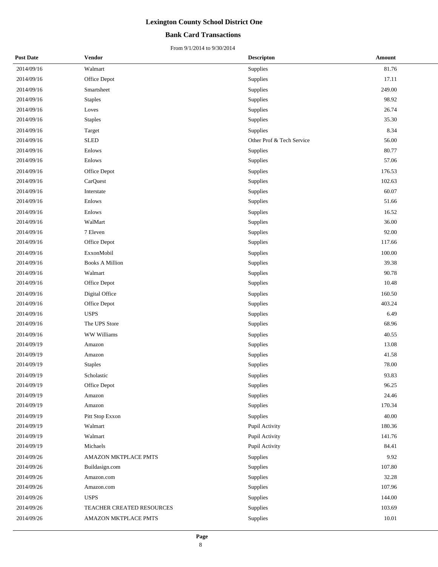#### **Bank Card Transactions**

| <b>Post Date</b> | Vendor                    | <b>Descripton</b>         | <b>Amount</b> |
|------------------|---------------------------|---------------------------|---------------|
| 2014/09/16       | Walmart                   | Supplies                  | 81.76         |
| 2014/09/16       | Office Depot              | Supplies                  | 17.11         |
| 2014/09/16       | Smartsheet                | Supplies                  | 249.00        |
| 2014/09/16       | <b>Staples</b>            | Supplies                  | 98.92         |
| 2014/09/16       | Loves                     | Supplies                  | 26.74         |
| 2014/09/16       | <b>Staples</b>            | Supplies                  | 35.30         |
| 2014/09/16       | Target                    | Supplies                  | 8.34          |
| 2014/09/16       | <b>SLED</b>               | Other Prof & Tech Service | 56.00         |
| 2014/09/16       | Enlows                    | Supplies                  | 80.77         |
| 2014/09/16       | Enlows                    | Supplies                  | 57.06         |
| 2014/09/16       | Office Depot              | Supplies                  | 176.53        |
| 2014/09/16       | CarQuest                  | Supplies                  | 102.63        |
| 2014/09/16       | Interstate                | Supplies                  | 60.07         |
| 2014/09/16       | Enlows                    | Supplies                  | 51.66         |
| 2014/09/16       | Enlows                    | Supplies                  | 16.52         |
| 2014/09/16       | WalMart                   | Supplies                  | 36.00         |
| 2014/09/16       | 7 Eleven                  | Supplies                  | 92.00         |
| 2014/09/16       | Office Depot              | Supplies                  | 117.66        |
| 2014/09/16       | ExxonMobil                | Supplies                  | 100.00        |
| 2014/09/16       | <b>Books A Million</b>    | Supplies                  | 39.38         |
| 2014/09/16       | Walmart                   | Supplies                  | 90.78         |
| 2014/09/16       | Office Depot              | Supplies                  | 10.48         |
| 2014/09/16       | Digital Office            | Supplies                  | 160.50        |
| 2014/09/16       | Office Depot              | Supplies                  | 403.24        |
| 2014/09/16       | <b>USPS</b>               | Supplies                  | 6.49          |
| 2014/09/16       | The UPS Store             | Supplies                  | 68.96         |
| 2014/09/16       | WW Williams               | Supplies                  | 40.55         |
| 2014/09/19       | Amazon                    | Supplies                  | 13.08         |
| 2014/09/19       | Amazon                    | Supplies                  | 41.58         |
| 2014/09/19       | <b>Staples</b>            | Supplies                  | 78.00         |
| 2014/09/19       | Scholastic                | Supplies                  | 93.83         |
| 2014/09/19       | Office Depot              | Supplies                  | 96.25         |
| 2014/09/19       | Amazon                    | Supplies                  | 24.46         |
| 2014/09/19       | Amazon                    | Supplies                  | 170.34        |
| 2014/09/19       | Pitt Stop Exxon           | Supplies                  | 40.00         |
| 2014/09/19       | Walmart                   | Pupil Activity            | 180.36        |
| 2014/09/19       | Walmart                   | Pupil Activity            | 141.76        |
| 2014/09/19       | Michaels                  | Pupil Activity            | 84.41         |
| 2014/09/26       | AMAZON MKTPLACE PMTS      | Supplies                  | 9.92          |
| 2014/09/26       | Buildasign.com            | Supplies                  | 107.80        |
| 2014/09/26       | Amazon.com                | Supplies                  | 32.28         |
| 2014/09/26       | Amazon.com                | Supplies                  | 107.96        |
| 2014/09/26       | <b>USPS</b>               | Supplies                  | 144.00        |
| 2014/09/26       | TEACHER CREATED RESOURCES | Supplies                  | 103.69        |
| 2014/09/26       | AMAZON MKTPLACE PMTS      | Supplies                  | 10.01         |
|                  |                           |                           |               |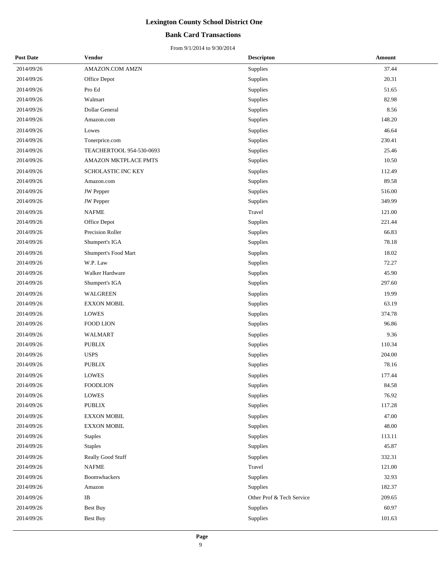#### **Bank Card Transactions**

| <b>Post Date</b> | Vendor                   | <b>Descripton</b>         | Amount |
|------------------|--------------------------|---------------------------|--------|
| 2014/09/26       | AMAZON.COM AMZN          | Supplies                  | 37.44  |
| 2014/09/26       | Office Depot             | Supplies                  | 20.31  |
| 2014/09/26       | Pro Ed                   | Supplies                  | 51.65  |
| 2014/09/26       | Walmart                  | Supplies                  | 82.98  |
| 2014/09/26       | Dollar General           | Supplies                  | 8.56   |
| 2014/09/26       | Amazon.com               | Supplies                  | 148.20 |
| 2014/09/26       | Lowes                    | Supplies                  | 46.64  |
| 2014/09/26       | Tonerprice.com           | Supplies                  | 230.41 |
| 2014/09/26       | TEACHERTOOL 954-530-0693 | Supplies                  | 25.46  |
| 2014/09/26       | AMAZON MKTPLACE PMTS     | Supplies                  | 10.50  |
| 2014/09/26       | SCHOLASTIC INC KEY       | Supplies                  | 112.49 |
| 2014/09/26       | Amazon.com               | Supplies                  | 89.58  |
| 2014/09/26       | JW Pepper                | Supplies                  | 516.00 |
| 2014/09/26       | <b>JW</b> Pepper         | Supplies                  | 349.99 |
| 2014/09/26       | <b>NAFME</b>             | Travel                    | 121.00 |
| 2014/09/26       | Office Depot             | Supplies                  | 221.44 |
| 2014/09/26       | Precision Roller         | Supplies                  | 66.83  |
| 2014/09/26       | Shumpert's IGA           | Supplies                  | 78.18  |
| 2014/09/26       | Shumpert's Food Mart     | Supplies                  | 18.02  |
| 2014/09/26       | W.P. Law                 | Supplies                  | 72.27  |
| 2014/09/26       | Walker Hardware          | Supplies                  | 45.90  |
| 2014/09/26       | Shumpert's IGA           | Supplies                  | 297.60 |
| 2014/09/26       | WALGREEN                 | Supplies                  | 19.99  |
| 2014/09/26       | <b>EXXON MOBIL</b>       | Supplies                  | 63.19  |
| 2014/09/26       | <b>LOWES</b>             | Supplies                  | 374.78 |
| 2014/09/26       | FOOD LION                | Supplies                  | 96.86  |
| 2014/09/26       | <b>WALMART</b>           | Supplies                  | 9.36   |
| 2014/09/26       | <b>PUBLIX</b>            | Supplies                  | 110.34 |
| 2014/09/26       | <b>USPS</b>              | Supplies                  | 204.00 |
| 2014/09/26       | <b>PUBLIX</b>            | Supplies                  | 78.16  |
| 2014/09/26       | <b>LOWES</b>             | Supplies                  | 177.44 |
| 2014/09/26       | <b>FOODLION</b>          | Supplies                  | 84.58  |
| 2014/09/26       | <b>LOWES</b>             | Supplies                  | 76.92  |
| 2014/09/26       | PUBLIX                   | Supplies                  | 117.28 |
| 2014/09/26       | <b>EXXON MOBIL</b>       | Supplies                  | 47.00  |
| 2014/09/26       | <b>EXXON MOBIL</b>       | Supplies                  | 48.00  |
| 2014/09/26       | <b>Staples</b>           | Supplies                  | 113.11 |
| 2014/09/26       | <b>Staples</b>           | Supplies                  | 45.87  |
| 2014/09/26       | Really Good Stuff        | Supplies                  | 332.31 |
| 2014/09/26       | <b>NAFME</b>             | Travel                    | 121.00 |
| 2014/09/26       | Boomwhackers             | Supplies                  | 32.93  |
| 2014/09/26       | Amazon                   | Supplies                  | 182.37 |
| 2014/09/26       | $\rm IB$                 | Other Prof & Tech Service | 209.65 |
| 2014/09/26       | <b>Best Buy</b>          | Supplies                  | 60.97  |
| 2014/09/26       | Best Buy                 | Supplies                  | 101.63 |
|                  |                          |                           |        |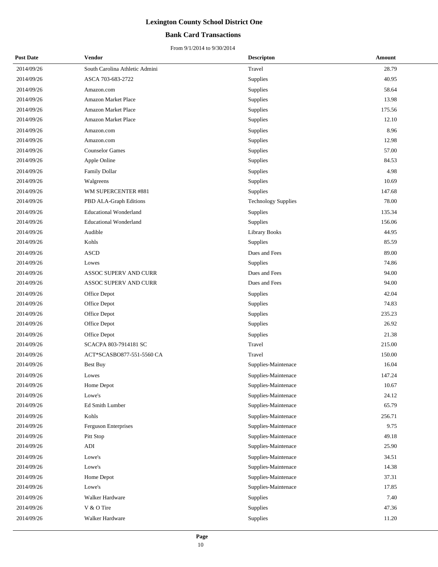#### **Bank Card Transactions**

| <b>Post Date</b> | Vendor                         | <b>Descripton</b>          | Amount |
|------------------|--------------------------------|----------------------------|--------|
| 2014/09/26       | South Carolina Athletic Admini | Travel                     | 28.79  |
| 2014/09/26       | ASCA 703-683-2722              | Supplies                   | 40.95  |
| 2014/09/26       | Amazon.com                     | Supplies                   | 58.64  |
| 2014/09/26       | <b>Amazon Market Place</b>     | Supplies                   | 13.98  |
| 2014/09/26       | Amazon Market Place            | Supplies                   | 175.56 |
| 2014/09/26       | Amazon Market Place            | Supplies                   | 12.10  |
| 2014/09/26       | Amazon.com                     | Supplies                   | 8.96   |
| 2014/09/26       | Amazon.com                     | Supplies                   | 12.98  |
| 2014/09/26       | <b>Counselor Games</b>         | Supplies                   | 57.00  |
| 2014/09/26       | Apple Online                   | Supplies                   | 84.53  |
| 2014/09/26       | <b>Family Dollar</b>           | Supplies                   | 4.98   |
| 2014/09/26       | Walgreens                      | Supplies                   | 10.69  |
| 2014/09/26       | WM SUPERCENTER #881            | <b>Supplies</b>            | 147.68 |
| 2014/09/26       | PBD ALA-Graph Editions         | <b>Technology Supplies</b> | 78.00  |
| 2014/09/26       | <b>Educational Wonderland</b>  | Supplies                   | 135.34 |
| 2014/09/26       | <b>Educational Wonderland</b>  | Supplies                   | 156.06 |
| 2014/09/26       | Audible                        | <b>Library Books</b>       | 44.95  |
| 2014/09/26       | Kohls                          | Supplies                   | 85.59  |
| 2014/09/26       | <b>ASCD</b>                    | Dues and Fees              | 89.00  |
| 2014/09/26       | Lowes                          | Supplies                   | 74.86  |
| 2014/09/26       | ASSOC SUPERV AND CURR          | Dues and Fees              | 94.00  |
| 2014/09/26       | ASSOC SUPERV AND CURR          | Dues and Fees              | 94.00  |
| 2014/09/26       | Office Depot                   | Supplies                   | 42.04  |
| 2014/09/26       | Office Depot                   | Supplies                   | 74.83  |
| 2014/09/26       | Office Depot                   | Supplies                   | 235.23 |
| 2014/09/26       | Office Depot                   | Supplies                   | 26.92  |
| 2014/09/26       | Office Depot                   | Supplies                   | 21.38  |
| 2014/09/26       | SCACPA 803-7914181 SC          | Travel                     | 215.00 |
| 2014/09/26       | ACT*SCASBO877-551-5560 CA      | Travel                     | 150.00 |
| 2014/09/26       | <b>Best Buy</b>                | Supplies-Maintenace        | 16.04  |
| 2014/09/26       | Lowes                          | Supplies-Maintenace        | 147.24 |
| 2014/09/26       | Home Depot                     | Supplies-Maintenace        | 10.67  |
| 2014/09/26       | Lowe's                         | Supplies-Maintenace        | 24.12  |
| 2014/09/26       | Ed Smith Lumber                | Supplies-Maintenace        | 65.79  |
| 2014/09/26       | Kohls                          | Supplies-Maintenace        | 256.71 |
| 2014/09/26       | Ferguson Enterprises           | Supplies-Maintenace        | 9.75   |
| 2014/09/26       | Pitt Stop                      | Supplies-Maintenace        | 49.18  |
| 2014/09/26       | $\mathbf{ADI}$                 | Supplies-Maintenace        | 25.90  |
| 2014/09/26       | Lowe's                         | Supplies-Maintenace        | 34.51  |
| 2014/09/26       | Lowe's                         | Supplies-Maintenace        | 14.38  |
| 2014/09/26       | Home Depot                     | Supplies-Maintenace        | 37.31  |
| 2014/09/26       | Lowe's                         | Supplies-Maintenace        | 17.85  |
| 2014/09/26       | Walker Hardware                | Supplies                   | 7.40   |
| 2014/09/26       | V & O Tire                     | Supplies                   | 47.36  |
| 2014/09/26       | Walker Hardware                | Supplies                   | 11.20  |
|                  |                                |                            |        |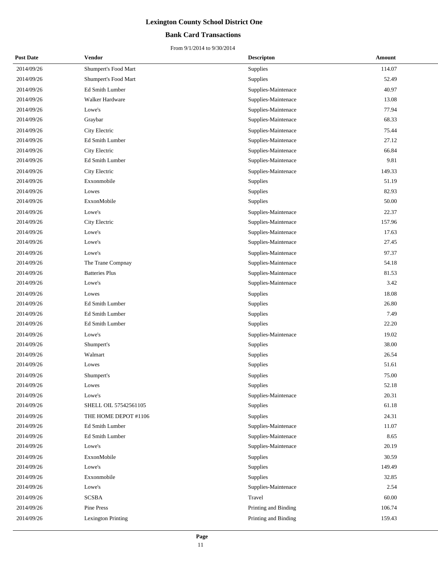#### **Bank Card Transactions**

| <b>Post Date</b> | Vendor                    | <b>Descripton</b>    | Amount |  |
|------------------|---------------------------|----------------------|--------|--|
| 2014/09/26       | Shumpert's Food Mart      | Supplies             | 114.07 |  |
| 2014/09/26       | Shumpert's Food Mart      | Supplies             | 52.49  |  |
| 2014/09/26       | Ed Smith Lumber           | Supplies-Maintenace  | 40.97  |  |
| 2014/09/26       | Walker Hardware           | Supplies-Maintenace  | 13.08  |  |
| 2014/09/26       | Lowe's                    | Supplies-Maintenace  | 77.94  |  |
| 2014/09/26       | Graybar                   | Supplies-Maintenace  | 68.33  |  |
| 2014/09/26       | City Electric             | Supplies-Maintenace  | 75.44  |  |
| 2014/09/26       | Ed Smith Lumber           | Supplies-Maintenace  | 27.12  |  |
| 2014/09/26       | City Electric             | Supplies-Maintenace  | 66.84  |  |
| 2014/09/26       | Ed Smith Lumber           | Supplies-Maintenace  | 9.81   |  |
| 2014/09/26       | City Electric             | Supplies-Maintenace  | 149.33 |  |
| 2014/09/26       | Exxonmobile               | Supplies             | 51.19  |  |
| 2014/09/26       | Lowes                     | Supplies             | 82.93  |  |
| 2014/09/26       | ExxonMobile               | Supplies             | 50.00  |  |
| 2014/09/26       | Lowe's                    | Supplies-Maintenace  | 22.37  |  |
| 2014/09/26       | City Electric             | Supplies-Maintenace  | 157.96 |  |
| 2014/09/26       | Lowe's                    | Supplies-Maintenace  | 17.63  |  |
| 2014/09/26       | Lowe's                    | Supplies-Maintenace  | 27.45  |  |
| 2014/09/26       | Lowe's                    | Supplies-Maintenace  | 97.37  |  |
| 2014/09/26       | The Trane Compnay         | Supplies-Maintenace  | 54.18  |  |
| 2014/09/26       | <b>Batteries Plus</b>     | Supplies-Maintenace  | 81.53  |  |
| 2014/09/26       | Lowe's                    | Supplies-Maintenace  | 3.42   |  |
| 2014/09/26       | Lowes                     | Supplies             | 18.08  |  |
| 2014/09/26       | Ed Smith Lumber           | Supplies             | 26.80  |  |
| 2014/09/26       | Ed Smith Lumber           | Supplies             | 7.49   |  |
| 2014/09/26       | Ed Smith Lumber           | Supplies             | 22.20  |  |
| 2014/09/26       | Lowe's                    | Supplies-Maintenace  | 19.02  |  |
| 2014/09/26       | Shumpert's                | Supplies             | 38.00  |  |
| 2014/09/26       | Walmart                   | Supplies             | 26.54  |  |
| 2014/09/26       | Lowes                     | Supplies             | 51.61  |  |
| 2014/09/26       | Shumpert's                | Supplies             | 75.00  |  |
| 2014/09/26       | Lowes                     | Supplies             | 52.18  |  |
| 2014/09/26       | Lowe's                    | Supplies-Maintenace  | 20.31  |  |
| 2014/09/26       | SHELL OIL 57542561105     | Supplies             | 61.18  |  |
| 2014/09/26       | THE HOME DEPOT #1106      | Supplies             | 24.31  |  |
| 2014/09/26       | Ed Smith Lumber           | Supplies-Maintenace  | 11.07  |  |
| 2014/09/26       | Ed Smith Lumber           | Supplies-Maintenace  | 8.65   |  |
| 2014/09/26       | Lowe's                    | Supplies-Maintenace  | 20.19  |  |
| 2014/09/26       | ExxonMobile               | Supplies             | 30.59  |  |
| 2014/09/26       | Lowe's                    | Supplies             | 149.49 |  |
| 2014/09/26       | Exxonmobile               | Supplies             | 32.85  |  |
| 2014/09/26       | Lowe's                    | Supplies-Maintenace  | 2.54   |  |
| 2014/09/26       | <b>SCSBA</b>              | Travel               | 60.00  |  |
| 2014/09/26       | Pine Press                | Printing and Binding | 106.74 |  |
| 2014/09/26       | <b>Lexington Printing</b> | Printing and Binding | 159.43 |  |
|                  |                           |                      |        |  |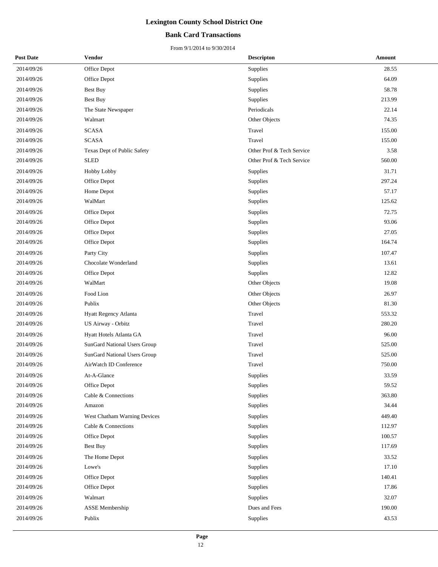#### **Bank Card Transactions**

| <b>Post Date</b> | Vendor                              | <b>Descripton</b>         | Amount |
|------------------|-------------------------------------|---------------------------|--------|
| 2014/09/26       | Office Depot                        | Supplies                  | 28.55  |
| 2014/09/26       | Office Depot                        | Supplies                  | 64.09  |
| 2014/09/26       | Best Buy                            | Supplies                  | 58.78  |
| 2014/09/26       | <b>Best Buy</b>                     | Supplies                  | 213.99 |
| 2014/09/26       | The State Newspaper                 | Periodicals               | 22.14  |
| 2014/09/26       | Walmart                             | Other Objects             | 74.35  |
| 2014/09/26       | <b>SCASA</b>                        | Travel                    | 155.00 |
| 2014/09/26       | <b>SCASA</b>                        | Travel                    | 155.00 |
| 2014/09/26       | Texas Dept of Public Safety         | Other Prof & Tech Service | 3.58   |
| 2014/09/26       | <b>SLED</b>                         | Other Prof & Tech Service | 560.00 |
| 2014/09/26       | Hobby Lobby                         | Supplies                  | 31.71  |
| 2014/09/26       | Office Depot                        | Supplies                  | 297.24 |
| 2014/09/26       | Home Depot                          | Supplies                  | 57.17  |
| 2014/09/26       | WalMart                             | Supplies                  | 125.62 |
| 2014/09/26       | Office Depot                        | Supplies                  | 72.75  |
| 2014/09/26       | Office Depot                        | Supplies                  | 93.06  |
| 2014/09/26       | Office Depot                        | Supplies                  | 27.05  |
| 2014/09/26       | Office Depot                        | Supplies                  | 164.74 |
| 2014/09/26       | Party City                          | Supplies                  | 107.47 |
| 2014/09/26       | Chocolate Wonderland                | Supplies                  | 13.61  |
| 2014/09/26       | Office Depot                        | Supplies                  | 12.82  |
| 2014/09/26       | WalMart                             | Other Objects             | 19.08  |
| 2014/09/26       | Food Lion                           | Other Objects             | 26.97  |
| 2014/09/26       | Publix                              | Other Objects             | 81.30  |
| 2014/09/26       | Hyatt Regency Atlanta               | Travel                    | 553.32 |
| 2014/09/26       | US Airway - Orbitz                  | Travel                    | 280.20 |
| 2014/09/26       | Hyatt Hotels Atlanta GA             | Travel                    | 96.00  |
| 2014/09/26       | <b>SunGard National Users Group</b> | Travel                    | 525.00 |
| 2014/09/26       | SunGard National Users Group        | Travel                    | 525.00 |
| 2014/09/26       | AirWatch ID Conference              | Travel                    | 750.00 |
| 2014/09/26       | At-A-Glance                         | Supplies                  | 33.59  |
| 2014/09/26       | Office Depot                        | Supplies                  | 59.52  |
| 2014/09/26       | Cable & Connections                 | Supplies                  | 363.80 |
| 2014/09/26       | Amazon                              | Supplies                  | 34.44  |
| 2014/09/26       | West Chatham Warning Devices        | Supplies                  | 449.40 |
| 2014/09/26       | Cable & Connections                 | Supplies                  | 112.97 |
| 2014/09/26       | Office Depot                        | Supplies                  | 100.57 |
| 2014/09/26       | Best Buy                            | Supplies                  | 117.69 |
| 2014/09/26       | The Home Depot                      | Supplies                  | 33.52  |
| 2014/09/26       | Lowe's                              | Supplies                  | 17.10  |
| 2014/09/26       | Office Depot                        | Supplies                  | 140.41 |
| 2014/09/26       | Office Depot                        | Supplies                  | 17.86  |
| 2014/09/26       | Walmart                             | Supplies                  | 32.07  |
| 2014/09/26       | ASSE Membership                     | Dues and Fees             | 190.00 |
| 2014/09/26       | Publix                              | <b>Supplies</b>           | 43.53  |
|                  |                                     |                           |        |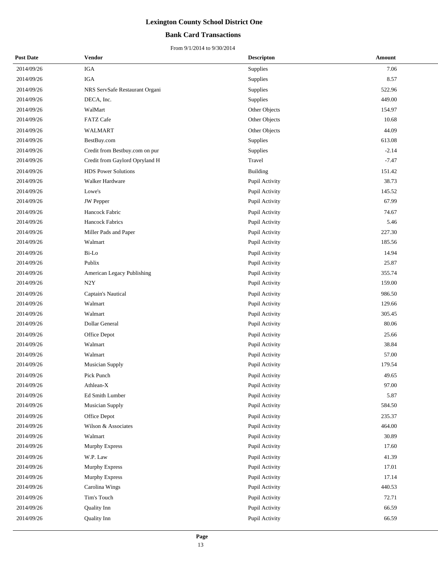#### **Bank Card Transactions**

| <b>Post Date</b> | Vendor                         | <b>Descripton</b> | Amount  |
|------------------|--------------------------------|-------------------|---------|
| 2014/09/26       | IGA                            | Supplies          | 7.06    |
| 2014/09/26       | IGA                            | Supplies          | 8.57    |
| 2014/09/26       | NRS ServSafe Restaurant Organi | Supplies          | 522.96  |
| 2014/09/26       | DECA, Inc.                     | Supplies          | 449.00  |
| 2014/09/26       | WalMart                        | Other Objects     | 154.97  |
| 2014/09/26       | <b>FATZ Cafe</b>               | Other Objects     | 10.68   |
| 2014/09/26       | <b>WALMART</b>                 | Other Objects     | 44.09   |
| 2014/09/26       | BestBuy.com                    | Supplies          | 613.08  |
| 2014/09/26       | Credit from Bestbuy.com on pur | Supplies          | $-2.14$ |
| 2014/09/26       | Credit from Gaylord Opryland H | Travel            | $-7.47$ |
| 2014/09/26       | <b>HDS</b> Power Solutions     | <b>Building</b>   | 151.42  |
| 2014/09/26       | Walker Hardware                | Pupil Activity    | 38.73   |
| 2014/09/26       | Lowe's                         | Pupil Activity    | 145.52  |
| 2014/09/26       | <b>JW</b> Pepper               | Pupil Activity    | 67.99   |
| 2014/09/26       | Hancock Fabric                 | Pupil Activity    | 74.67   |
| 2014/09/26       | Hancock Fabrics                | Pupil Activity    | 5.46    |
| 2014/09/26       | Miller Pads and Paper          | Pupil Activity    | 227.30  |
| 2014/09/26       | Walmart                        | Pupil Activity    | 185.56  |
| 2014/09/26       | Bi-Lo                          | Pupil Activity    | 14.94   |
| 2014/09/26       | Publix                         | Pupil Activity    | 25.87   |
| 2014/09/26       | American Legacy Publishing     | Pupil Activity    | 355.74  |
| 2014/09/26       | N2Y                            | Pupil Activity    | 159.00  |
| 2014/09/26       | Captain's Nautical             | Pupil Activity    | 986.50  |
| 2014/09/26       | Walmart                        | Pupil Activity    | 129.66  |
| 2014/09/26       | Walmart                        | Pupil Activity    | 305.45  |
| 2014/09/26       | Dollar General                 | Pupil Activity    | 80.06   |
| 2014/09/26       | Office Depot                   | Pupil Activity    | 25.66   |
| 2014/09/26       | Walmart                        | Pupil Activity    | 38.84   |
| 2014/09/26       | Walmart                        | Pupil Activity    | 57.00   |
| 2014/09/26       | <b>Musician Supply</b>         | Pupil Activity    | 179.54  |
| 2014/09/26       | Pick Punch                     | Pupil Activity    | 49.65   |
| 2014/09/26       | Athlean-X                      | Pupil Activity    | 97.00   |
| 2014/09/26       | Ed Smith Lumber                | Pupil Activity    | 5.87    |
| 2014/09/26       | <b>Musician Supply</b>         | Pupil Activity    | 584.50  |
| 2014/09/26       | Office Depot                   | Pupil Activity    | 235.37  |
| 2014/09/26       | Wilson & Associates            | Pupil Activity    | 464.00  |
| 2014/09/26       | Walmart                        | Pupil Activity    | 30.89   |
| 2014/09/26       | Murphy Express                 | Pupil Activity    | 17.60   |
| 2014/09/26       | W.P. Law                       | Pupil Activity    | 41.39   |
| 2014/09/26       | Murphy Express                 | Pupil Activity    | 17.01   |
| 2014/09/26       | Murphy Express                 | Pupil Activity    | 17.14   |
| 2014/09/26       | Carolina Wings                 | Pupil Activity    | 440.53  |
| 2014/09/26       | Tim's Touch                    | Pupil Activity    | 72.71   |
| 2014/09/26       | Quality Inn                    | Pupil Activity    | 66.59   |
| 2014/09/26       | Quality Inn                    | Pupil Activity    | 66.59   |
|                  |                                |                   |         |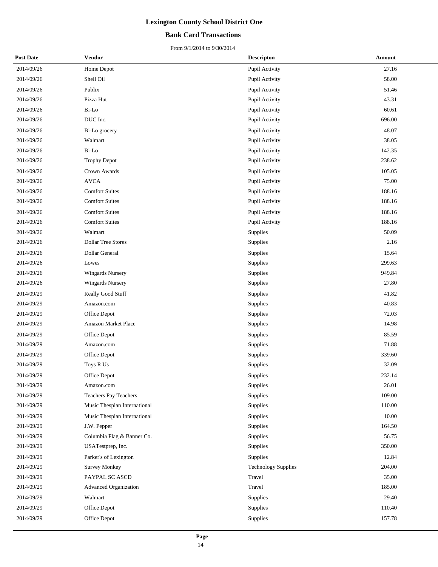#### **Bank Card Transactions**

| <b>Post Date</b> | Vendor                       | <b>Descripton</b>          | Amount |
|------------------|------------------------------|----------------------------|--------|
| 2014/09/26       | Home Depot                   | Pupil Activity             | 27.16  |
| 2014/09/26       | Shell Oil                    | Pupil Activity             | 58.00  |
| 2014/09/26       | Publix                       | Pupil Activity             | 51.46  |
| 2014/09/26       | Pizza Hut                    | Pupil Activity             | 43.31  |
| 2014/09/26       | Bi-Lo                        | Pupil Activity             | 60.61  |
| 2014/09/26       | DUC Inc.                     | Pupil Activity             | 696.00 |
| 2014/09/26       | Bi-Lo grocery                | Pupil Activity             | 48.07  |
| 2014/09/26       | Walmart                      | Pupil Activity             | 38.05  |
| 2014/09/26       | Bi-Lo                        | Pupil Activity             | 142.35 |
| 2014/09/26       | <b>Trophy Depot</b>          | Pupil Activity             | 238.62 |
| 2014/09/26       | Crown Awards                 | Pupil Activity             | 105.05 |
| 2014/09/26       | <b>AVCA</b>                  | Pupil Activity             | 75.00  |
| 2014/09/26       | <b>Comfort Suites</b>        | Pupil Activity             | 188.16 |
| 2014/09/26       | <b>Comfort Suites</b>        | Pupil Activity             | 188.16 |
| 2014/09/26       | <b>Comfort Suites</b>        | Pupil Activity             | 188.16 |
| 2014/09/26       | <b>Comfort Suites</b>        | Pupil Activity             | 188.16 |
| 2014/09/26       | Walmart                      | Supplies                   | 50.09  |
| 2014/09/26       | <b>Dollar Tree Stores</b>    | <b>Supplies</b>            | 2.16   |
| 2014/09/26       | Dollar General               | Supplies                   | 15.64  |
| 2014/09/26       | Lowes                        | Supplies                   | 299.63 |
| 2014/09/26       | <b>Wingards Nursery</b>      | <b>Supplies</b>            | 949.84 |
| 2014/09/26       | <b>Wingards Nursery</b>      | Supplies                   | 27.80  |
| 2014/09/29       | Really Good Stuff            | Supplies                   | 41.82  |
| 2014/09/29       | Amazon.com                   | Supplies                   | 40.83  |
| 2014/09/29       | Office Depot                 | Supplies                   | 72.03  |
| 2014/09/29       | Amazon Market Place          | Supplies                   | 14.98  |
| 2014/09/29       | Office Depot                 | Supplies                   | 85.59  |
| 2014/09/29       | Amazon.com                   | Supplies                   | 71.88  |
| 2014/09/29       | Office Depot                 | Supplies                   | 339.60 |
| 2014/09/29       | Toys R Us                    | Supplies                   | 32.09  |
| 2014/09/29       | Office Depot                 | Supplies                   | 232.14 |
| 2014/09/29       | Amazon.com                   | Supplies                   | 26.01  |
| 2014/09/29       | <b>Teachers Pay Teachers</b> | Supplies                   | 109.00 |
| 2014/09/29       | Music Thespian International | Supplies                   | 110.00 |
| 2014/09/29       | Music Thespian International | Supplies                   | 10.00  |
| 2014/09/29       | J.W. Pepper                  | Supplies                   | 164.50 |
| 2014/09/29       | Columbia Flag & Banner Co.   | Supplies                   | 56.75  |
| 2014/09/29       | USATestprep, Inc.            | Supplies                   | 350.00 |
| 2014/09/29       | Parker's of Lexington        | Supplies                   | 12.84  |
| 2014/09/29       | <b>Survey Monkey</b>         | <b>Technology Supplies</b> | 204.00 |
| 2014/09/29       | PAYPAL SC ASCD               | Travel                     | 35.00  |
| 2014/09/29       | Advanced Organization        | Travel                     | 185.00 |
| 2014/09/29       | Walmart                      | Supplies                   | 29.40  |
| 2014/09/29       | Office Depot                 | Supplies                   | 110.40 |
| 2014/09/29       | Office Depot                 | Supplies                   | 157.78 |
|                  |                              |                            |        |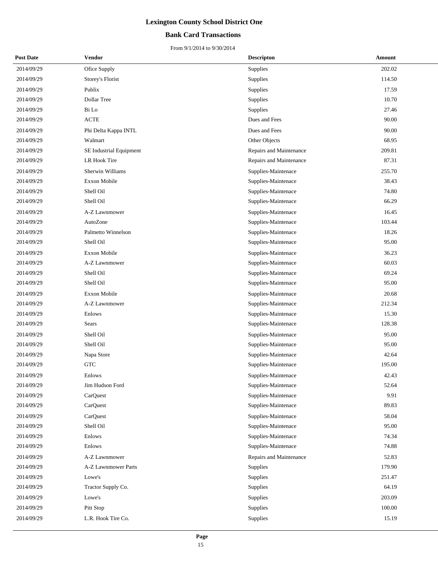#### **Bank Card Transactions**

| <b>Post Date</b> | Vendor                  | <b>Descripton</b>       | Amount |
|------------------|-------------------------|-------------------------|--------|
| 2014/09/29       | Ofice Supply            | Supplies                | 202.02 |
| 2014/09/29       | Storey's Florist        | Supplies                | 114.50 |
| 2014/09/29       | Publix                  | Supplies                | 17.59  |
| 2014/09/29       | Dollar Tree             | Supplies                | 10.70  |
| 2014/09/29       | Bi Lo                   | Supplies                | 27.46  |
| 2014/09/29       | <b>ACTE</b>             | Dues and Fees           | 90.00  |
| 2014/09/29       | Phi Delta Kappa INTL    | Dues and Fees           | 90.00  |
| 2014/09/29       | Walmart                 | Other Objects           | 68.95  |
| 2014/09/29       | SE Industrial Equipment | Repairs and Maintenance | 209.81 |
| 2014/09/29       | <b>LR Hook Tire</b>     | Repairs and Maintenance | 87.31  |
| 2014/09/29       | Sherwin Williams        | Supplies-Maintenace     | 255.70 |
| 2014/09/29       | <b>Exxon Mobile</b>     | Supplies-Maintenace     | 38.43  |
| 2014/09/29       | Shell Oil               | Supplies-Maintenace     | 74.80  |
| 2014/09/29       | Shell Oil               | Supplies-Maintenace     | 66.29  |
| 2014/09/29       | A-Z Lawnmower           | Supplies-Maintenace     | 16.45  |
| 2014/09/29       | AutoZone                | Supplies-Maintenace     | 103.44 |
| 2014/09/29       | Palmetto Winnelson      | Supplies-Maintenace     | 18.26  |
| 2014/09/29       | Shell Oil               | Supplies-Maintenace     | 95.00  |
| 2014/09/29       | <b>Exxon Mobile</b>     | Supplies-Maintenace     | 36.23  |
| 2014/09/29       | A-Z Lawnmower           | Supplies-Maintenace     | 60.03  |
| 2014/09/29       | Shell Oil               | Supplies-Maintenace     | 69.24  |
| 2014/09/29       | Shell Oil               | Supplies-Maintenace     | 95.00  |
| 2014/09/29       | <b>Exxon Mobile</b>     | Supplies-Maintenace     | 20.68  |
| 2014/09/29       | A-Z Lawnmower           | Supplies-Maintenace     | 212.34 |
| 2014/09/29       | Enlows                  | Supplies-Maintenace     | 15.30  |
| 2014/09/29       | Sears                   | Supplies-Maintenace     | 128.38 |
| 2014/09/29       | Shell Oil               | Supplies-Maintenace     | 95.00  |
| 2014/09/29       | Shell Oil               | Supplies-Maintenace     | 95.00  |
| 2014/09/29       | Napa Store              | Supplies-Maintenace     | 42.64  |
| 2014/09/29       | <b>GTC</b>              | Supplies-Maintenace     | 195.00 |
| 2014/09/29       | Enlows                  | Supplies-Maintenace     | 42.43  |
| 2014/09/29       | Jim Hudson Ford         | Supplies-Maintenace     | 52.64  |
| 2014/09/29       | CarQuest                | Supplies-Maintenace     | 9.91   |
| 2014/09/29       | CarQuest                | Supplies-Maintenace     | 89.83  |
| 2014/09/29       | CarQuest                | Supplies-Maintenace     | 58.04  |
| 2014/09/29       | Shell Oil               | Supplies-Maintenace     | 95.00  |
| 2014/09/29       | Enlows                  | Supplies-Maintenace     | 74.34  |
| 2014/09/29       | Enlows                  | Supplies-Maintenace     | 74.88  |
| 2014/09/29       | A-Z Lawnmower           | Repairs and Maintenance | 52.83  |
| 2014/09/29       | A-Z Lawnmower Parts     | Supplies                | 179.90 |
| 2014/09/29       | Lowe's                  | Supplies                | 251.47 |
| 2014/09/29       | Tractor Supply Co.      | Supplies                | 64.19  |
| 2014/09/29       | Lowe's                  | Supplies                | 203.09 |
| 2014/09/29       | Pitt Stop               | Supplies                | 100.00 |
| 2014/09/29       | L.R. Hook Tire Co.      | Supplies                | 15.19  |
|                  |                         |                         |        |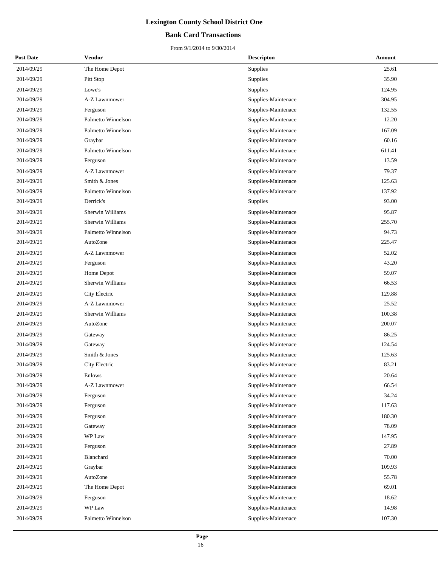#### **Bank Card Transactions**

| <b>Post Date</b> | Vendor             | <b>Descripton</b>   | Amount |
|------------------|--------------------|---------------------|--------|
| 2014/09/29       | The Home Depot     | Supplies            | 25.61  |
| 2014/09/29       | Pitt Stop          | Supplies            | 35.90  |
| 2014/09/29       | Lowe's             | Supplies            | 124.95 |
| 2014/09/29       | A-Z Lawnmower      | Supplies-Maintenace | 304.95 |
| 2014/09/29       | Ferguson           | Supplies-Maintenace | 132.55 |
| 2014/09/29       | Palmetto Winnelson | Supplies-Maintenace | 12.20  |
| 2014/09/29       | Palmetto Winnelson | Supplies-Maintenace | 167.09 |
| 2014/09/29       | Graybar            | Supplies-Maintenace | 60.16  |
| 2014/09/29       | Palmetto Winnelson | Supplies-Maintenace | 611.41 |
| 2014/09/29       | Ferguson           | Supplies-Maintenace | 13.59  |
| 2014/09/29       | A-Z Lawnmower      | Supplies-Maintenace | 79.37  |
| 2014/09/29       | Smith & Jones      | Supplies-Maintenace | 125.63 |
| 2014/09/29       | Palmetto Winnelson | Supplies-Maintenace | 137.92 |
| 2014/09/29       | Derrick's          | Supplies            | 93.00  |
| 2014/09/29       | Sherwin Williams   | Supplies-Maintenace | 95.87  |
| 2014/09/29       | Sherwin Williams   | Supplies-Maintenace | 255.70 |
| 2014/09/29       | Palmetto Winnelson | Supplies-Maintenace | 94.73  |
| 2014/09/29       | AutoZone           | Supplies-Maintenace | 225.47 |
| 2014/09/29       | A-Z Lawnmower      | Supplies-Maintenace | 52.02  |
| 2014/09/29       | Ferguson           | Supplies-Maintenace | 43.20  |
| 2014/09/29       | Home Depot         | Supplies-Maintenace | 59.07  |
| 2014/09/29       | Sherwin Williams   | Supplies-Maintenace | 66.53  |
| 2014/09/29       | City Electric      | Supplies-Maintenace | 129.88 |
| 2014/09/29       | A-Z Lawnmower      | Supplies-Maintenace | 25.52  |
| 2014/09/29       | Sherwin Williams   | Supplies-Maintenace | 100.38 |
| 2014/09/29       | AutoZone           | Supplies-Maintenace | 200.07 |
| 2014/09/29       | Gateway            | Supplies-Maintenace | 86.25  |
| 2014/09/29       | Gateway            | Supplies-Maintenace | 124.54 |
| 2014/09/29       | Smith & Jones      | Supplies-Maintenace | 125.63 |
| 2014/09/29       | City Electric      | Supplies-Maintenace | 83.21  |
| 2014/09/29       | Enlows             | Supplies-Maintenace | 20.64  |
| 2014/09/29       | A-Z Lawnmower      | Supplies-Maintenace | 66.54  |
| 2014/09/29       | Ferguson           | Supplies-Maintenace | 34.24  |
| 2014/09/29       | Ferguson           | Supplies-Maintenace | 117.63 |
| 2014/09/29       | Ferguson           | Supplies-Maintenace | 180.30 |
| 2014/09/29       | Gateway            | Supplies-Maintenace | 78.09  |
| 2014/09/29       | WP Law             | Supplies-Maintenace | 147.95 |
| 2014/09/29       | Ferguson           | Supplies-Maintenace | 27.89  |
| 2014/09/29       | Blanchard          | Supplies-Maintenace | 70.00  |
| 2014/09/29       | Graybar            | Supplies-Maintenace | 109.93 |
| 2014/09/29       | AutoZone           | Supplies-Maintenace | 55.78  |
| 2014/09/29       | The Home Depot     | Supplies-Maintenace | 69.01  |
| 2014/09/29       | Ferguson           | Supplies-Maintenace | 18.62  |
| 2014/09/29       | WP Law             | Supplies-Maintenace | 14.98  |
| 2014/09/29       | Palmetto Winnelson | Supplies-Maintenace | 107.30 |
|                  |                    |                     |        |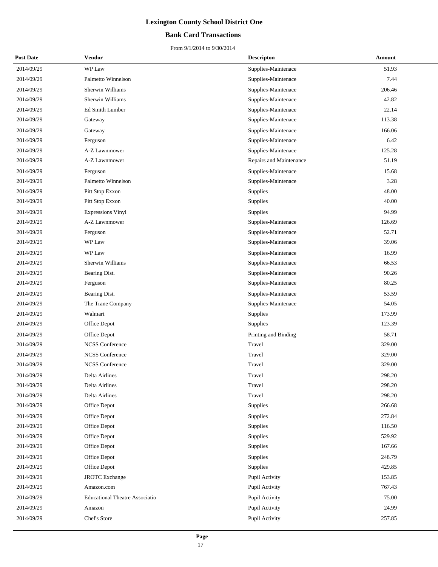#### **Bank Card Transactions**

| <b>Post Date</b> | Vendor                                | <b>Descripton</b>       | Amount |
|------------------|---------------------------------------|-------------------------|--------|
| 2014/09/29       | WP Law                                | Supplies-Maintenace     | 51.93  |
| 2014/09/29       | Palmetto Winnelson                    | Supplies-Maintenace     | 7.44   |
| 2014/09/29       | Sherwin Williams                      | Supplies-Maintenace     | 206.46 |
| 2014/09/29       | Sherwin Williams                      | Supplies-Maintenace     | 42.82  |
| 2014/09/29       | Ed Smith Lumber                       | Supplies-Maintenace     | 22.14  |
| 2014/09/29       | Gateway                               | Supplies-Maintenace     | 113.38 |
| 2014/09/29       | Gateway                               | Supplies-Maintenace     | 166.06 |
| 2014/09/29       | Ferguson                              | Supplies-Maintenace     | 6.42   |
| 2014/09/29       | A-Z Lawnmower                         | Supplies-Maintenace     | 125.28 |
| 2014/09/29       | A-Z Lawnmower                         | Repairs and Maintenance | 51.19  |
| 2014/09/29       | Ferguson                              | Supplies-Maintenace     | 15.68  |
| 2014/09/29       | Palmetto Winnelson                    | Supplies-Maintenace     | 3.28   |
| 2014/09/29       | Pitt Stop Exxon                       | Supplies                | 48.00  |
| 2014/09/29       | Pitt Stop Exxon                       | Supplies                | 40.00  |
| 2014/09/29       | <b>Expressions Vinyl</b>              | Supplies                | 94.99  |
| 2014/09/29       | A-Z Lawnmower                         | Supplies-Maintenace     | 126.69 |
| 2014/09/29       | Ferguson                              | Supplies-Maintenace     | 52.71  |
| 2014/09/29       | WP Law                                | Supplies-Maintenace     | 39.06  |
| 2014/09/29       | WP Law                                | Supplies-Maintenace     | 16.99  |
| 2014/09/29       | Sherwin Williams                      | Supplies-Maintenace     | 66.53  |
| 2014/09/29       | Bearing Dist.                         | Supplies-Maintenace     | 90.26  |
| 2014/09/29       | Ferguson                              | Supplies-Maintenace     | 80.25  |
| 2014/09/29       | Bearing Dist.                         | Supplies-Maintenace     | 53.59  |
| 2014/09/29       | The Trane Company                     | Supplies-Maintenace     | 54.05  |
| 2014/09/29       | Walmart                               | Supplies                | 173.99 |
| 2014/09/29       | Office Depot                          | Supplies                | 123.39 |
| 2014/09/29       | Office Depot                          | Printing and Binding    | 58.71  |
| 2014/09/29       | <b>NCSS</b> Conference                | Travel                  | 329.00 |
| 2014/09/29       | <b>NCSS</b> Conference                | Travel                  | 329.00 |
| 2014/09/29       | <b>NCSS</b> Conference                | Travel                  | 329.00 |
| 2014/09/29       | Delta Airlines                        | Travel                  | 298.20 |
| 2014/09/29       | Delta Airlines                        | Travel                  | 298.20 |
| 2014/09/29       | Delta Airlines                        | Travel                  | 298.20 |
| 2014/09/29       | Office Depot                          | Supplies                | 266.68 |
| 2014/09/29       | Office Depot                          | Supplies                | 272.84 |
| 2014/09/29       | Office Depot                          | Supplies                | 116.50 |
| 2014/09/29       | Office Depot                          | Supplies                | 529.92 |
| 2014/09/29       | Office Depot                          | Supplies                | 167.66 |
| 2014/09/29       | Office Depot                          | Supplies                | 248.79 |
| 2014/09/29       | Office Depot                          | Supplies                | 429.85 |
| 2014/09/29       | <b>JROTC</b> Exchange                 | Pupil Activity          | 153.85 |
| 2014/09/29       | Amazon.com                            | Pupil Activity          | 767.43 |
| 2014/09/29       | <b>Educational Theatre Associatio</b> | Pupil Activity          | 75.00  |
| 2014/09/29       | Amazon                                | Pupil Activity          | 24.99  |
| 2014/09/29       | Chef's Store                          | Pupil Activity          | 257.85 |
|                  |                                       |                         |        |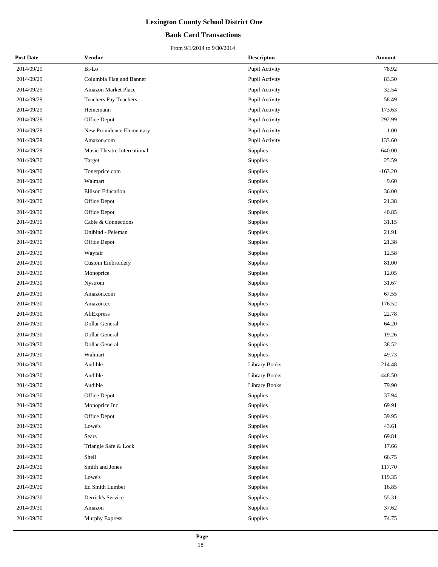#### **Bank Card Transactions**

| <b>Post Date</b> | Vendor                      | <b>Descripton</b>    | Amount    |
|------------------|-----------------------------|----------------------|-----------|
| 2014/09/29       | Bi-Lo                       | Pupil Activity       | 78.92     |
| 2014/09/29       | Columbia Flag and Banner    | Pupil Activity       | 83.50     |
| 2014/09/29       | Amazon Market Place         | Pupil Activity       | 32.54     |
| 2014/09/29       | Teachers Pay Teachers       | Pupil Activity       | 58.49     |
| 2014/09/29       | Heinemann                   | Pupil Activity       | 173.63    |
| 2014/09/29       | Office Depot                | Pupil Activity       | 292.99    |
| 2014/09/29       | New Providence Elementary   | Pupil Activity       | 1.00      |
| 2014/09/29       | Amazon.com                  | Pupil Activity       | 133.60    |
| 2014/09/29       | Music Theatre International | Supplies             | 640.00    |
| 2014/09/30       | Target                      | Supplies             | 25.59     |
| 2014/09/30       | Tonerprice.com              | Supplies             | $-163.20$ |
| 2014/09/30       | Walmart                     | Supplies             | 9.60      |
| 2014/09/30       | <b>Ellison Education</b>    | <b>Supplies</b>      | 36.00     |
| 2014/09/30       | Office Depot                | Supplies             | 21.38     |
| 2014/09/30       | Office Depot                | Supplies             | 40.85     |
| 2014/09/30       | Cable & Connections         | Supplies             | 31.15     |
| 2014/09/30       | Unibind - Peleman           | Supplies             | 21.91     |
| 2014/09/30       | Office Depot                | Supplies             | 21.38     |
| 2014/09/30       | Wayfair                     | Supplies             | 12.58     |
| 2014/09/30       | <b>Custom Embroidery</b>    | Supplies             | 81.00     |
| 2014/09/30       | Monoprice                   | Supplies             | 12.05     |
| 2014/09/30       | Nystrom                     | Supplies             | 31.67     |
| 2014/09/30       | Amazon.com                  | Supplies             | 67.55     |
| 2014/09/30       | Amazon.co                   | Supplies             | 176.52    |
| 2014/09/30       | AliExpress                  | Supplies             | 22.78     |
| 2014/09/30       | Dollar General              | Supplies             | 64.20     |
| 2014/09/30       | Dollar General              | Supplies             | 19.26     |
| 2014/09/30       | Dollar General              | Supplies             | 38.52     |
| 2014/09/30       | Walmart                     | Supplies             | 49.73     |
| 2014/09/30       | Audible                     | Library Books        | 214.48    |
| 2014/09/30       | Audible                     | Library Books        | 448.50    |
| 2014/09/30       | Audible                     | <b>Library Books</b> | 79.90     |
| 2014/09/30       | Office Depot                | Supplies             | 37.94     |
| 2014/09/30       | Monoprice Inc               | Supplies             | 69.91     |
| 2014/09/30       | Office Depot                | Supplies             | 39.95     |
| 2014/09/30       | Lowe's                      | Supplies             | 43.61     |
| 2014/09/30       | Sears                       | Supplies             | 69.81     |
| 2014/09/30       | Triangle Safe & Lock        | Supplies             | 17.66     |
| 2014/09/30       | Shell                       | Supplies             | 66.75     |
| 2014/09/30       | Smith and Jones             | Supplies             | 117.70    |
| 2014/09/30       | Lowe's                      | Supplies             | 119.35    |
| 2014/09/30       | Ed Smith Lumber             | Supplies             | 16.85     |
| 2014/09/30       | Derrick's Service           | Supplies             | 55.31     |
| 2014/09/30       | Amazon                      | Supplies             | 37.62     |
| 2014/09/30       | Murphy Express              | Supplies             | 74.75     |
|                  |                             |                      |           |